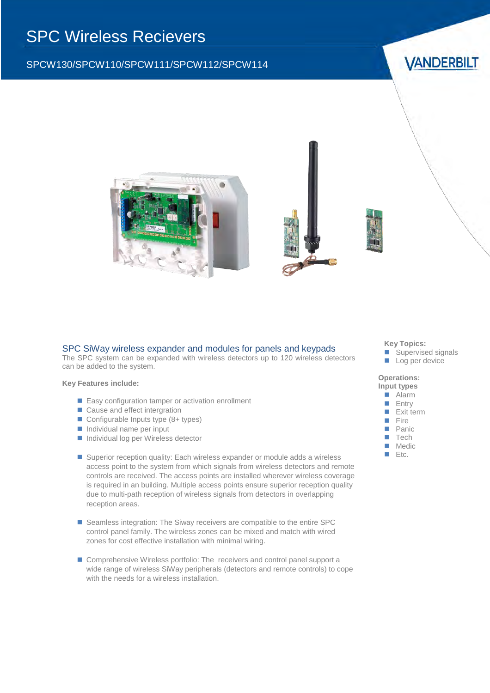# SPC Wireless Recievers

## SPCW130/SPCW110/SPCW111/SPCW112/SPCW114

**VANDERBILT** 





#### SPC SiWay wireless expander and modules for panels and keypads

The SPC system can be expanded with wireless detectors up to 120 wireless detectors can be added to the system.

**Key Features include:**

- Easy configuration tamper or activation enrollment
- Cause and effect intergration
- Configurable Inputs type (8+ types)
- $\blacksquare$  Individual name per input
- Individual log per Wireless detector
- Superior reception quality: Each wireless expander or module adds a wireless access point to the system from which signals from wireless detectors and remote controls are received. The access points are installed wherever wireless coverage is required in an building. Multiple access points ensure superior reception quality due to multi-path reception of wireless signals from detectors in overlapping reception areas.
- Seamless integration: The Siway receivers are compatible to the entire SPC control panel family. The wireless zones can be mixed and match with wired zones for cost effective installation with minimal wiring.
- Comprehensive Wireless portfolio: The receivers and control panel support a wide range of wireless SiWay peripherals (detectors and remote controls) to cope with the needs for a wireless installation.

#### **Key Topics:**

- Supervised signals
- **Log per device**

**Operations:**



 $E$ tc.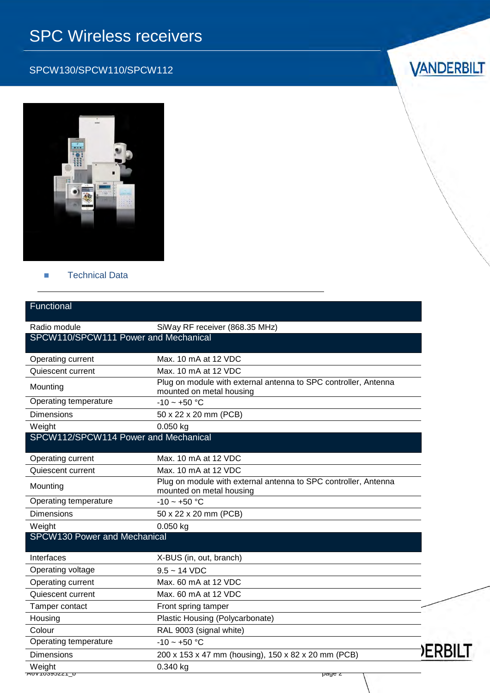# SPC Wireless receivers

# SPCW130/SPCW110/SPCW112





## **Technical Data**

| Functional                           |                                                                                             |      |
|--------------------------------------|---------------------------------------------------------------------------------------------|------|
| Radio module                         | SiWay RF receiver (868.35 MHz)                                                              |      |
| SPCW110/SPCW111 Power and Mechanical |                                                                                             |      |
| Operating current                    | Max, 10 mA at 12 VDC                                                                        |      |
| Quiescent current                    | Max, 10 mA at 12 VDC                                                                        |      |
| Mounting                             | Plug on module with external antenna to SPC controller, Antenna<br>mounted on metal housing |      |
| Operating temperature                | $-10 - +50$ °C                                                                              |      |
| <b>Dimensions</b>                    | 50 x 22 x 20 mm (PCB)                                                                       |      |
| Weight                               | $0.050$ kg                                                                                  |      |
| SPCW112/SPCW114 Power and Mechanical |                                                                                             |      |
| Operating current                    | Max. 10 mA at 12 VDC                                                                        |      |
| Quiescent current                    | Max. 10 mA at 12 VDC                                                                        |      |
| Mounting                             | Plug on module with external antenna to SPC controller, Antenna<br>mounted on metal housing |      |
| Operating temperature                | $-10 - +50$ °C                                                                              |      |
| <b>Dimensions</b>                    | 50 x 22 x 20 mm (PCB)                                                                       |      |
| Weight                               | $0.050$ kg                                                                                  |      |
| SPCW130 Power and Mechanical         |                                                                                             |      |
| Interfaces                           | X-BUS (in, out, branch)                                                                     |      |
| Operating voltage                    | $9.5 - 14$ VDC                                                                              |      |
| Operating current                    | Max, 60 mA at 12 VDC                                                                        |      |
| Quiescent current                    | Max, 60 mA at 12 VDC                                                                        |      |
| Tamper contact                       | Front spring tamper                                                                         |      |
| Housing                              | Plastic Housing (Polycarbonate)                                                             |      |
| Colour                               | RAL 9003 (signal white)                                                                     |      |
| Operating temperature                | $-10 - +50$ °C                                                                              |      |
| <b>Dimensions</b>                    | 200 x 153 x 47 mm (housing), 150 x 82 x 20 mm (PCB)                                         | )ERI |
| Weight<br>AUV TUJSSJZZT_U            | 0.340 kg<br>page z                                                                          |      |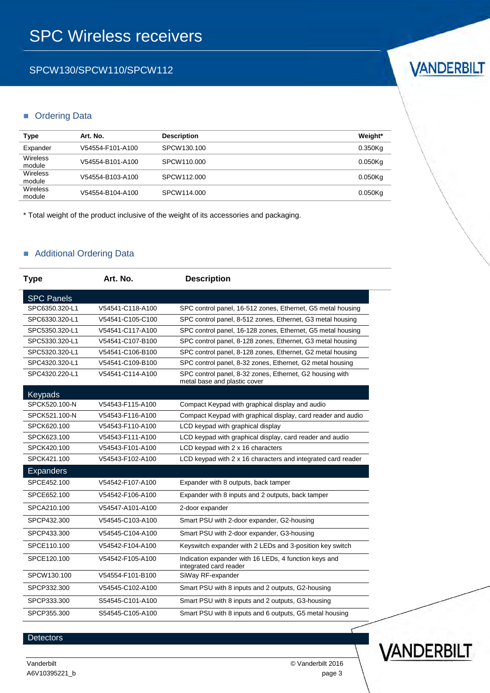## SPCW130/SPCW110/SPCW112

#### **Drdering Data**

| Type               | Art. No.         | <b>Description</b> | Weight*    |
|--------------------|------------------|--------------------|------------|
| Expander           | V54554-F101-A100 | SPCW130.100        | $0.350$ Kg |
| Wireless<br>module | V54554-B101-A100 | SPCW110,000        | $0.050$ Kg |
| Wireless<br>module | V54554-B103-A100 | SPCW112,000        | $0.050$ Kg |
| Wireless<br>module | V54554-B104-A100 | SPCW114,000        | $0.050$ Kg |

\* Total weight of the product inclusive of the weight of its accessories and packaging.

## Additional Ordering Data

| <b>Type</b>       | Art. No.         | <b>Description</b>                                                                       |
|-------------------|------------------|------------------------------------------------------------------------------------------|
| <b>SPC Panels</b> |                  |                                                                                          |
| SPC6350.320-L1    | V54541-C118-A100 | SPC control panel, 16-512 zones, Ethernet, G5 metal housing                              |
| SPC6330.320-L1    | V54541-C105-C100 | SPC control panel, 8-512 zones, Ethernet, G3 metal housing                               |
| SPC5350.320-L1    | V54541-C117-A100 | SPC control panel, 16-128 zones, Ethernet, G5 metal housing                              |
| SPC5330.320-L1    | V54541-C107-B100 | SPC control panel, 8-128 zones, Ethernet, G3 metal housing                               |
| SPC5320.320-L1    | V54541-C106-B100 | SPC control panel, 8-128 zones, Ethernet, G2 metal housing                               |
| SPC4320.320-L1    | V54541-C109-B100 | SPC control panel, 8-32 zones, Ethernet, G2 metal housing                                |
| SPC4320.220-L1    | V54541-C114-A100 | SPC control panel, 8-32 zones, Ethernet, G2 housing with<br>metal base and plastic cover |
| Keypads           |                  |                                                                                          |
| SPCK520.100-N     | V54543-F115-A100 | Compact Keypad with graphical display and audio                                          |
| SPCK521.100-N     | V54543-F116-A100 | Compact Keypad with graphical display, card reader and audio                             |
| SPCK620.100       | V54543-F110-A100 | LCD keypad with graphical display                                                        |
| SPCK623.100       | V54543-F111-A100 | LCD keypad with graphical display, card reader and audio                                 |
| SPCK420.100       | V54543-F101-A100 | LCD keypad with 2 x 16 characters                                                        |
| SPCK421.100       | V54543-F102-A100 | LCD keypad with 2 x 16 characters and integrated card reader                             |
| <b>Expanders</b>  |                  |                                                                                          |
| SPCE452.100       | V54542-F107-A100 | Expander with 8 outputs, back tamper                                                     |
| SPCE652.100       | V54542-F106-A100 | Expander with 8 inputs and 2 outputs, back tamper                                        |
| SPCA210.100       | V54547-A101-A100 | 2-door expander                                                                          |
| SPCP432.300       | V54545-C103-A100 | Smart PSU with 2-door expander, G2-housing                                               |
| SPCP433.300       | V54545-C104-A100 | Smart PSU with 2-door expander, G3-housing                                               |
| SPCE110.100       | V54542-F104-A100 | Keyswitch expander with 2 LEDs and 3-position key switch                                 |
| SPCE120.100       | V54542-F105-A100 | Indication expander with 16 LEDs, 4 function keys and<br>integrated card reader          |
| SPCW130.100       | V54554-F101-B100 | SiWay RF-expander                                                                        |
| SPCP332.300       | V54545-C102-A100 | Smart PSU with 8 inputs and 2 outputs, G2-housing                                        |
| SPCP333.300       | S54545-C101-A100 | Smart PSU with 8 inputs and 2 outputs, G3-housing                                        |
| SPCP355.300       | S54545-C105-A100 | Smart PSU with 8 inputs and 6 outputs, G5 metal housing                                  |

#### Detectors

A6V10395221\_b page 3



VANDERBILT